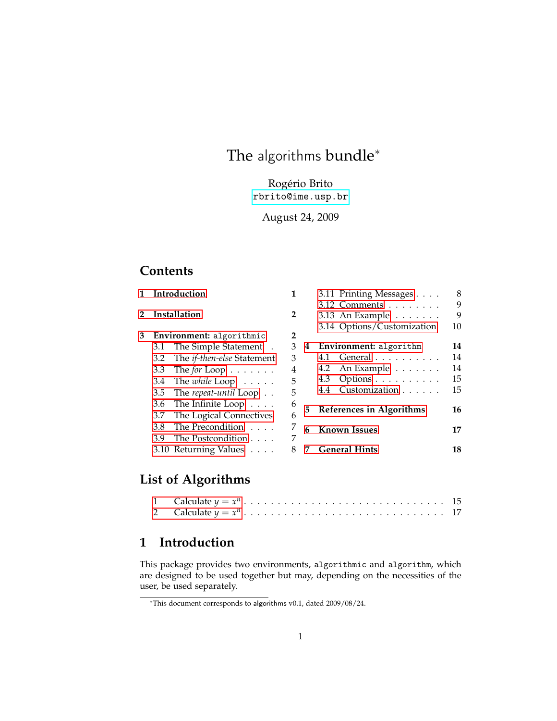# The algorithms bundle<sup>\*</sup>

Rogério Brito [rbrito@ime.usp.br](mailto:rbrito@ime.usp.br)

August 24, 2009

## **Contents**

| 1            | Introduction                                                       |                                   | 1              |   | 3.11 Printing Messages        | 8  |
|--------------|--------------------------------------------------------------------|-----------------------------------|----------------|---|-------------------------------|----|
|              | Installation                                                       |                                   | $\overline{2}$ |   | 3.12 Comments                 | 9  |
| $\mathbf{2}$ |                                                                    |                                   |                |   | 3.13 An Example               | 9  |
|              |                                                                    |                                   |                |   | 3.14 Options/Customization    | 10 |
| 3            | Environment: algorithmic                                           |                                   | 2              |   |                               |    |
|              | 3.1                                                                | The Simple Statement.             | 3              | 4 | <b>Environment:</b> algorithm | 14 |
|              | 3.2                                                                | The <i>if-then-else</i> Statement | 3              |   | 4.1 General                   | 14 |
|              | 3.3                                                                | The for Loop $\dots \dots$        | 4              |   | 4.2 An Example $\dots \dots$  | 14 |
|              | 3.4                                                                | The <i>while</i> $Loop \ldots$ .  | 5              |   | Options<br>4.3                | 15 |
|              | 3.5                                                                | The repeat-until Loop             | 5              |   | Customization<br>4.4          | 15 |
|              | The Infinite Loop $\dots$<br>3.6<br>The Logical Connectives<br>3.7 |                                   | 6              |   | 5 References in Algorithms    |    |
|              |                                                                    |                                   | 6              |   |                               |    |
|              | The Precondition<br>3.8<br>The Postcondition<br>3.9                |                                   | 7              | 6 | <b>Known Issues</b>           | 17 |
|              |                                                                    |                                   | 7              |   |                               |    |
|              |                                                                    | 3.10 Returning Values             |                | 7 | <b>General Hints</b>          | 18 |
|              |                                                                    |                                   |                |   |                               |    |

# **List of Algorithms**

## <span id="page-0-0"></span>**1 Introduction**

This package provides two environments, algorithmic and algorithm, which are designed to be used together but may, depending on the necessities of the user, be used separately.

<sup>∗</sup>This document corresponds to algorithms v0.1, dated 2009/08/24.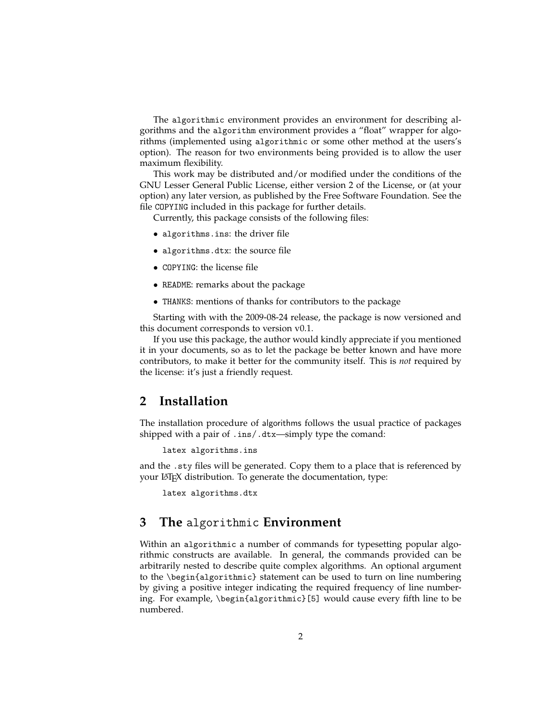The algorithmic environment provides an environment for describing algorithms and the algorithm environment provides a "float" wrapper for algorithms (implemented using algorithmic or some other method at the users's option). The reason for two environments being provided is to allow the user maximum flexibility.

This work may be distributed and/or modified under the conditions of the GNU Lesser General Public License, either version 2 of the License, or (at your option) any later version, as published by the Free Software Foundation. See the file COPYING included in this package for further details.

Currently, this package consists of the following files:

- algorithms.ins: the driver file
- algorithms.dtx: the source file
- COPYING: the license file
- README: remarks about the package
- THANKS: mentions of thanks for contributors to the package

Starting with with the 2009-08-24 release, the package is now versioned and this document corresponds to version v0.1.

If you use this package, the author would kindly appreciate if you mentioned it in your documents, so as to let the package be better known and have more contributors, to make it better for the community itself. This is *not* required by the license: it's just a friendly request.

## <span id="page-1-0"></span>**2 Installation**

The installation procedure of algorithms follows the usual practice of packages shipped with a pair of .ins/.dtx—simply type the comand:

latex algorithms.ins

and the .sty files will be generated. Copy them to a place that is referenced by your LATEX distribution. To generate the documentation, type:

latex algorithms.dtx

## <span id="page-1-1"></span>**3 The** algorithmic **Environment**

Within an algorithmic a number of commands for typesetting popular algorithmic constructs are available. In general, the commands provided can be arbitrarily nested to describe quite complex algorithms. An optional argument to the \begin{algorithmic} statement can be used to turn on line numbering by giving a positive integer indicating the required frequency of line numbering. For example, \begin{algorithmic}[5] would cause every fifth line to be numbered.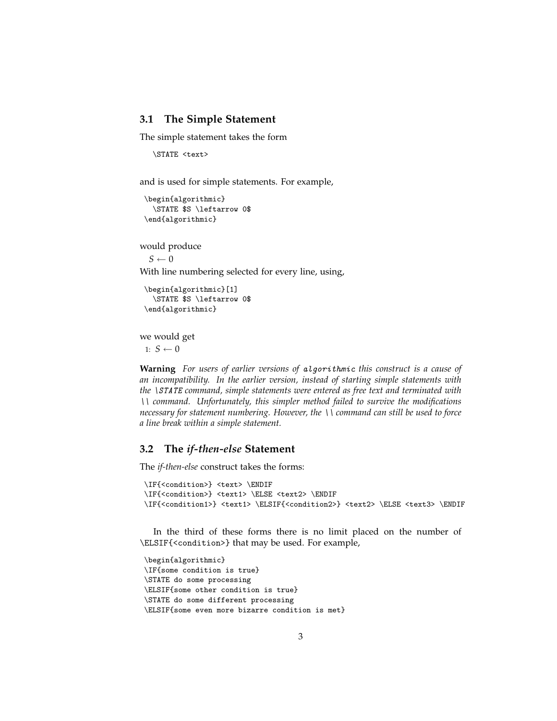#### <span id="page-2-0"></span>**3.1 The Simple Statement**

The simple statement takes the form

```
\STATE <text>
```
and is used for simple statements. For example,

```
\begin{algorithmic}
  \STATE $S \leftarrow 0$
\end{algorithmic}
```
would produce

 $S \leftarrow 0$ 

With line numbering selected for every line, using,

```
\begin{algorithmic}[1]
  \STATE $S \leftarrow 0$
\end{algorithmic}
```
we would get

1:  $S \leftarrow 0$ 

**Warning** *For users of earlier versions of* algorithmic *this construct is a cause of an incompatibility. In the earlier version, instead of starting simple statements with the* \STATE *command, simple statements were entered as free text and terminated with* \\ *command. Unfortunately, this simpler method failed to survive the modifications necessary for statement numbering. However, the* \\ *command can still be used to force a line break within a simple statement.*

#### <span id="page-2-1"></span>**3.2 The** *if-then-else* **Statement**

The *if-then-else* construct takes the forms:

```
\IF{<condition>} <text> \ENDIF
\IF{<condition>} <text1> \ELSE <text2> \ENDIF
\IF{<condition1>} <text1> \ELSIF{<condition2>} <text2> \ELSE <text3> \ENDIF
```
In the third of these forms there is no limit placed on the number of \ELSIF{<condition>} that may be used. For example,

```
\begin{algorithmic}
\IF{some condition is true}
\STATE do some processing
\ELSIF{some other condition is true}
\STATE do some different processing
\ELSIF{some even more bizarre condition is met}
```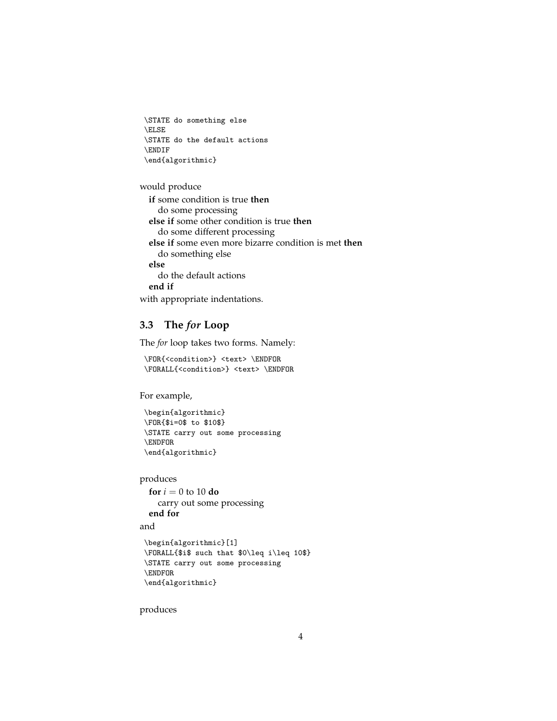```
\STATE do something else
\ELSE
\STATE do the default actions
\ENDIF
\end{algorithmic}
```
would produce

```
if some condition is true then
  do some processing
else if some other condition is true then
  do some different processing
else if some even more bizarre condition is met then
  do something else
else
  do the default actions
end if
```
with appropriate indentations.

## <span id="page-3-0"></span>**3.3 The** *for* **Loop**

The *for* loop takes two forms. Namely:

```
\FOR{<condition>} <text> \ENDFOR
\FORALL{<condition>} <text> \ENDFOR
```
For example,

```
\begin{algorithmic}
\FOR{$i=0$ to $10$}
\STATE carry out some processing
\ENDFOR
\end{algorithmic}
```
produces

```
for i = 0 to 10 do
  carry out some processing
end for
```
and

```
\begin{algorithmic}[1]
\FORALL{$i$ such that $0\leq i\leq 10$}
\STATE carry out some processing
\ENDFOR
\end{algorithmic}
```
produces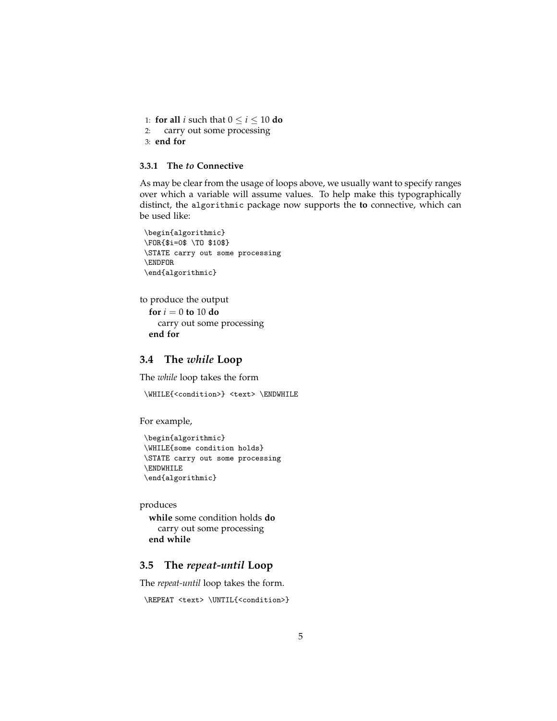1: **for all** *i* such that  $0 \le i \le 10$  **do** 2: carry out some processing 3: **end for**

#### **3.3.1 The** *to* **Connective**

As may be clear from the usage of loops above, we usually want to specify ranges over which a variable will assume values. To help make this typographically distinct, the algorithmic package now supports the **to** connective, which can be used like:

```
\begin{algorithmic}
\FOR{$i=0$ \TO $10$}
\STATE carry out some processing
\ENDFOR
\end{algorithmic}
```

```
to produce the output
```

```
for i = 0 to 10 do
  carry out some processing
end for
```
#### <span id="page-4-0"></span>**3.4 The** *while* **Loop**

The *while* loop takes the form

```
\WHILE{<condition>} <text> \ENDWHILE
```
For example,

```
\begin{algorithmic}
\WHILE{some condition holds}
\STATE carry out some processing
\ENDWHILE
\end{algorithmic}
```
produces

**while** some condition holds **do** carry out some processing **end while**

## <span id="page-4-1"></span>**3.5 The** *repeat-until* **Loop**

The *repeat-until* loop takes the form.

```
\REPEAT <text> \UNTIL{<condition>}
```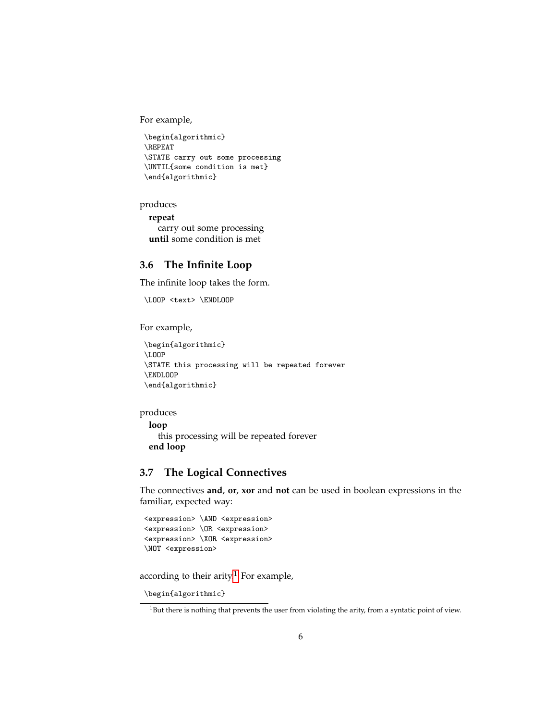For example,

```
\begin{algorithmic}
\REPEAT
\STATE carry out some processing
\UNTIL{some condition is met}
\end{algorithmic}
```
produces

**repeat** carry out some processing **until** some condition is met

### <span id="page-5-0"></span>**3.6 The Infinite Loop**

The infinite loop takes the form.

\LOOP <text> \ENDLOOP

For example,

```
\begin{algorithmic}
\LOOP
\STATE this processing will be repeated forever
\ENDLOOP
\end{algorithmic}
```
#### produces

```
loop
  this processing will be repeated forever
end loop
```
## <span id="page-5-1"></span>**3.7 The Logical Connectives**

The connectives **and**, **or**, **xor** and **not** can be used in boolean expressions in the familiar, expected way:

```
<expression> \AND <expression>
<expression> \OR <expression>
<expression> \XOR <expression>
\NOT <expression>
```
according to their arity.<sup>[1](#page-5-2)</sup> For example,

```
\begin{algorithmic}
```
<span id="page-5-2"></span> $1$ But there is nothing that prevents the user from violating the arity, from a syntatic point of view.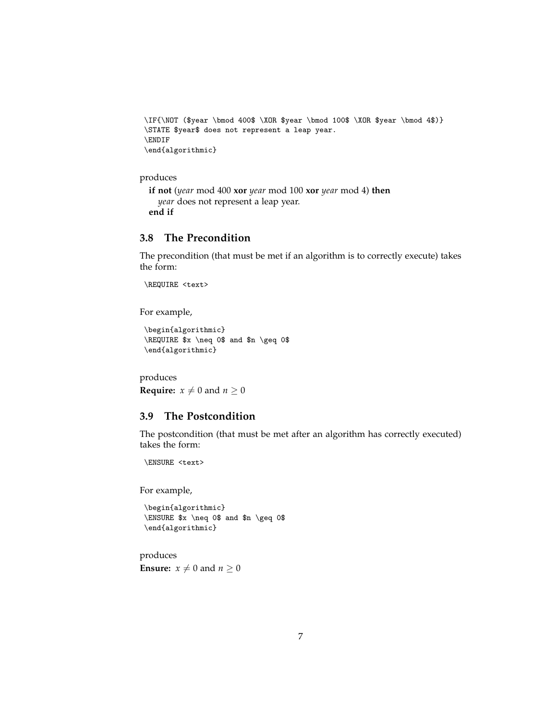```
\IF{\NOT ($year \bmod 400$ \XOR $year \bmod 100$ \XOR $year \bmod 4$)}
\STATE $year$ does not represent a leap year.
\ENDIF
\end{algorithmic}
```
#### produces

```
if not (year mod 400 xor year mod 100 xor year mod 4) then
  year does not represent a leap year.
end if
```
#### <span id="page-6-0"></span>**3.8 The Precondition**

The precondition (that must be met if an algorithm is to correctly execute) takes the form:

\REQUIRE <text>

For example,

```
\begin{algorithmic}
\REQUIRE $x \neq 0$ and $n \geq 0$
\end{algorithmic}
```
produces **Require:**  $x \neq 0$  and  $n \geq 0$ 

#### <span id="page-6-1"></span>**3.9 The Postcondition**

The postcondition (that must be met after an algorithm has correctly executed) takes the form:

\ENSURE <text>

For example,

```
\begin{algorithmic}
\ENSURE $x \neq 0$ and $n \geq 0$
\end{algorithmic}
```
produces **Ensure:**  $x \neq 0$  and  $n \geq 0$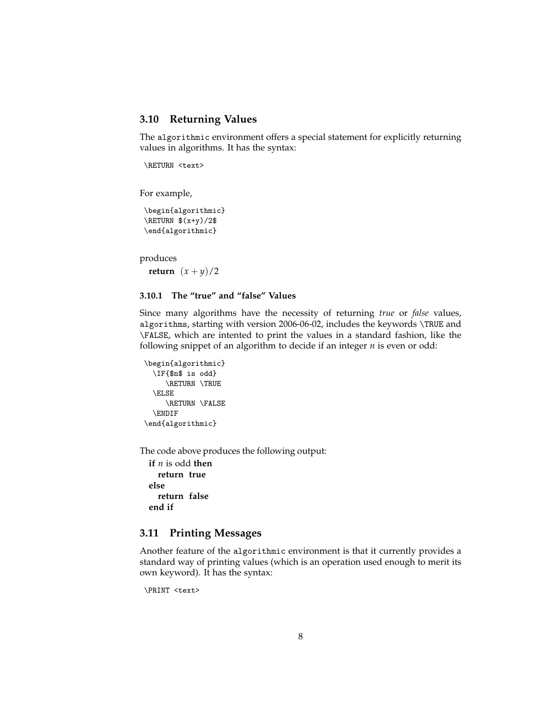#### <span id="page-7-0"></span>**3.10 Returning Values**

The algorithmic environment offers a special statement for explicitly returning values in algorithms. It has the syntax:

\RETURN <text>

For example,

\begin{algorithmic}  $\kappa \$  $(x+y)/2$ \$ \end{algorithmic}

produces

**return**  $(x + y)/2$ 

#### **3.10.1 The "true" and "false" Values**

Since many algorithms have the necessity of returning *true* or *false* values, algorithms, starting with version 2006-06-02, includes the keywords \TRUE and \FALSE, which are intented to print the values in a standard fashion, like the following snippet of an algorithm to decide if an integer *n* is even or odd:

```
\begin{algorithmic}
  \IF{$n$ is odd}
     \RETURN \TRUE
  \ELSE
     \RETURN \FALSE
  \ENDIF
\end{algorithmic}
```
The code above produces the following output:

**if** *n* is odd **then return true else return false end if**

#### <span id="page-7-1"></span>**3.11 Printing Messages**

Another feature of the algorithmic environment is that it currently provides a standard way of printing values (which is an operation used enough to merit its own keyword). It has the syntax:

```
\PRINT <text>
```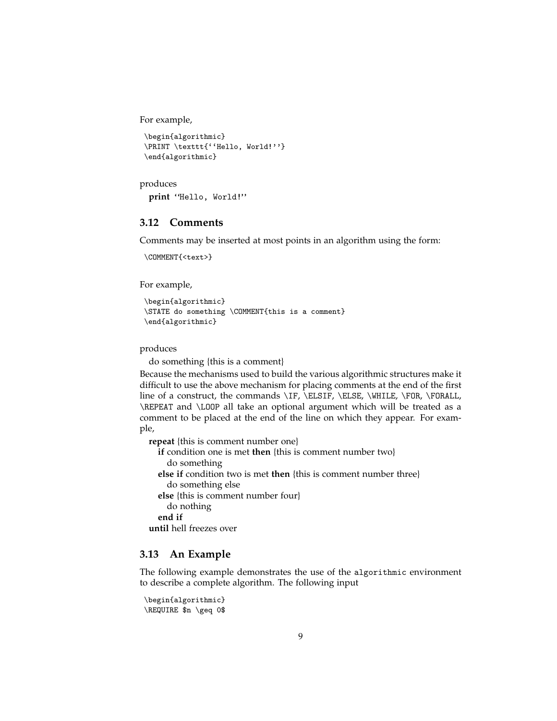For example,

```
\begin{algorithmic}
\PRINT \texttt{''Hello, World!''}
\end{algorithmic}
```

```
produces
 print "Hello, World!"
```
#### <span id="page-8-0"></span>**3.12 Comments**

Comments may be inserted at most points in an algorithm using the form:

```
\COMMENT{<text>}
```
For example,

```
\begin{algorithmic}
\STATE do something \COMMENT{this is a comment}
\end{algorithmic}
```
produces

do something {this is a comment}

Because the mechanisms used to build the various algorithmic structures make it difficult to use the above mechanism for placing comments at the end of the first line of a construct, the commands \IF, \ELSIF, \ELSE, \WHILE, \FOR, \FORALL, \REPEAT and \LOOP all take an optional argument which will be treated as a comment to be placed at the end of the line on which they appear. For example,

**repeat** {this is comment number one} **if** condition one is met **then** {this is comment number two} do something **else if** condition two is met **then** {this is comment number three} do something else **else** {this is comment number four} do nothing **end if until** hell freezes over

#### <span id="page-8-1"></span>**3.13 An Example**

The following example demonstrates the use of the algorithmic environment to describe a complete algorithm. The following input

```
\begin{algorithmic}
\REQUIRE $n \geq 0$
```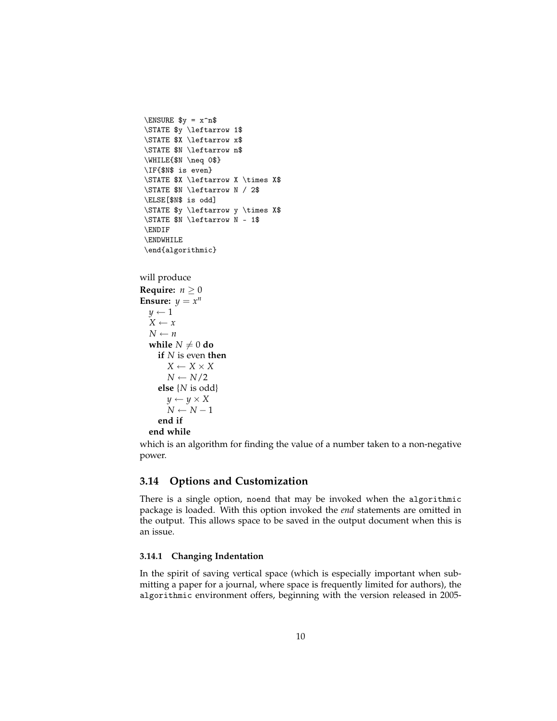```
\Epsilon \ y = x^n\STATE $y \leftarrow 1$
\STATE $X \leftarrow x$
\STATE $N \leftarrow n$
\WHILE{$N \neq 0$}
\IF{$N$ is even}
\STATE $X \leftarrow X \times X$
\STATE $N \leftarrow N / 2$
\ELSE[$N$ is odd]
\STATE $y \leftarrow y \times X$
\STATE $N \leftarrow N - 1$
\ENDIF
\ENDWHILE
\end{algorithmic}
```

```
will produce
```

```
Require: n \geq 0Ensure: y = x^ny \leftarrow 1X ← x
  N \leftarrow nwhile N \neq 0 do
     if N is even then
        X \leftarrow X \times XN \leftarrow N/2else {N is odd}
        y \leftarrow y \times XN \leftarrow N - 1end if
  end while
```
which is an algorithm for finding the value of a number taken to a non-negative power.

## <span id="page-9-0"></span>**3.14 Options and Customization**

There is a single option, noend that may be invoked when the algorithmic package is loaded. With this option invoked the *end* statements are omitted in the output. This allows space to be saved in the output document when this is an issue.

#### <span id="page-9-1"></span>**3.14.1 Changing Indentation**

In the spirit of saving vertical space (which is especially important when submitting a paper for a journal, where space is frequently limited for authors), the algorithmic environment offers, beginning with the version released in 2005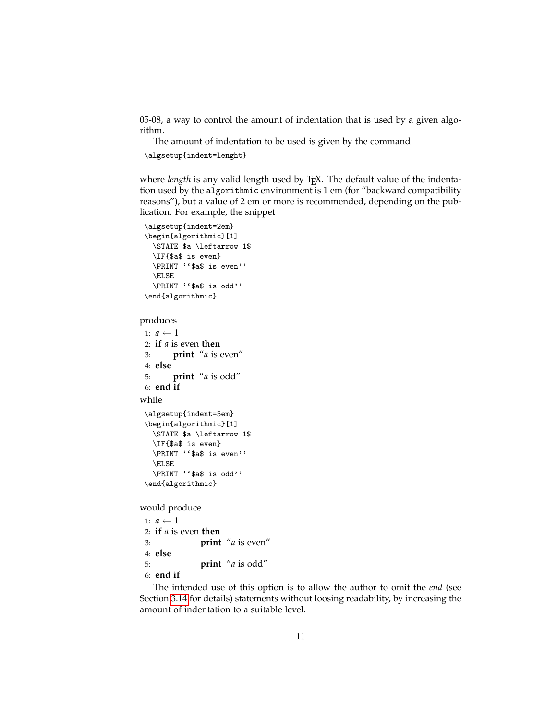05-08, a way to control the amount of indentation that is used by a given algorithm.

The amount of indentation to be used is given by the command

\algsetup{indent=lenght}

where *length* is any valid length used by T<sub>E</sub>X. The default value of the indentation used by the algorithmic environment is 1 em (for "backward compatibility reasons"), but a value of 2 em or more is recommended, depending on the publication. For example, the snippet

```
\algsetup{indent=2em}
\begin{algorithmic}[1]
  \STATE $a \leftarrow 1$
 \IF{$a$ is even}
 \PRINT ''$a$ is even''
 \ELSE
 \PRINT ''$a$ is odd''
\end{algorithmic}
```
produces

```
1: a \leftarrow 12: if a is even then
 3: print "a is even"
 4: else
 5: print "a is odd"
 6: end if
while
 \algsetup{indent=5em}
 \begin{algorithmic}[1]
   \STATE $a \leftarrow 1$
   \IF{$a$ is even}
   \PRINT ''$a$ is even''
   \ELSE
   \PRINT ''$a$ is odd''
 \end{algorithmic}
```
would produce

```
1: a \leftarrow 12: if a is even then
3: print "a is even"
4: else
5: print "a is odd"
6: end if
```
The intended use of this option is to allow the author to omit the *end* (see Section [3.14](#page-9-0) for details) statements without loosing readability, by increasing the amount of indentation to a suitable level.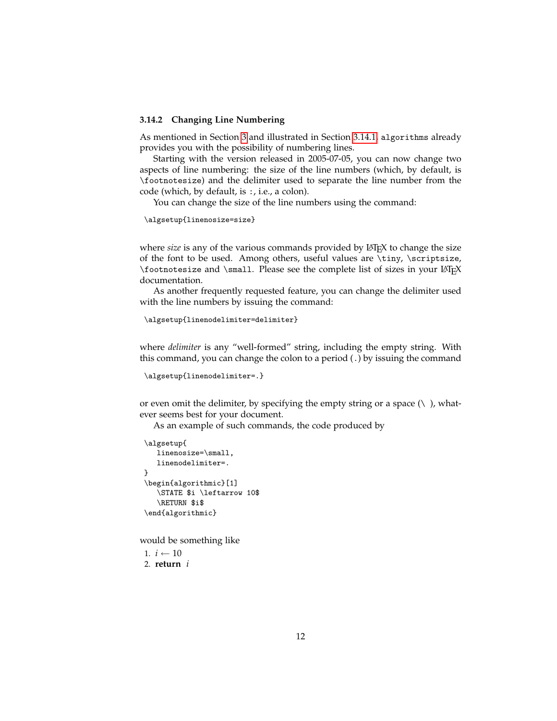#### **3.14.2 Changing Line Numbering**

As mentioned in Section [3](#page-1-1) and illustrated in Section [3.14.1,](#page-9-1) algorithms already provides you with the possibility of numbering lines.

Starting with the version released in 2005-07-05, you can now change two aspects of line numbering: the size of the line numbers (which, by default, is \footnotesize) and the delimiter used to separate the line number from the code (which, by default, is :, i.e., a colon).

You can change the size of the line numbers using the command:

\algsetup{linenosize=size}

where *size* is any of the various commands provided by LAT<sub>E</sub>X to change the size of the font to be used. Among others, useful values are \tiny, \scriptsize, \footnotesize and \small. Please see the complete list of sizes in your LATEX documentation.

As another frequently requested feature, you can change the delimiter used with the line numbers by issuing the command:

\algsetup{linenodelimiter=delimiter}

where *delimiter* is any "well-formed" string, including the empty string. With this command, you can change the colon to a period (.) by issuing the command

```
\algsetup{linenodelimiter=.}
```
or even omit the delimiter, by specifying the empty string or a space  $(\cdot)$ , whatever seems best for your document.

As an example of such commands, the code produced by

```
\algsetup{
   linenosize=\small,
   linenodelimiter=.
}
\begin{algorithmic}[1]
   \STATE $i \leftarrow 10$
   \RETURN $i$
\end{algorithmic}
```
would be something like

1.  $i$  ← 10 2. **return** *i*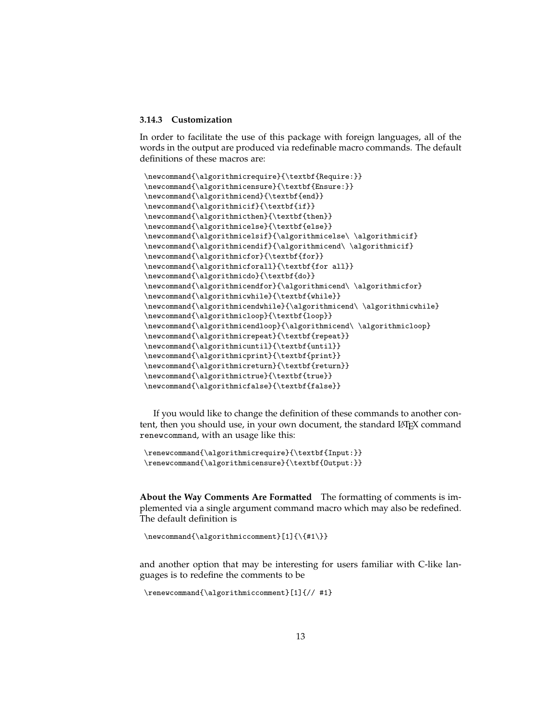#### **3.14.3 Customization**

In order to facilitate the use of this package with foreign languages, all of the words in the output are produced via redefinable macro commands. The default definitions of these macros are:

```
\newcommand{\algorithmicrequire}{\textbf{Require:}}
\newcommand{\algorithmicensure}{\textbf{Ensure:}}
\newcommand{\algorithmicend}{\textbf{end}}
\newcommand{\algorithmicif}{\textbf{if}}
\newcommand{\algorithmicthen}{\textbf{then}}
\newcommand{\algorithmicelse}{\textbf{else}}
\newcommand{\algorithmicelsif}{\algorithmicelse\ \algorithmicif}
\newcommand{\algorithmicendif}{\algorithmicend\ \algorithmicif}
\newcommand{\algorithmicfor}{\textbf{for}}
\newcommand{\algorithmicforall}{\textbf{for all}}
\newcommand{\algorithmicdo}{\textbf{do}}
\newcommand{\algorithmicendfor}{\algorithmicend\ \algorithmicfor}
\newcommand{\algorithmicwhile}{\textbf{while}}
\newcommand{\algorithmicendwhile}{\algorithmicend\ \algorithmicwhile}
\newcommand{\algorithmicloop}{\textbf{loop}}
\newcommand{\algorithmicendloop}{\algorithmicend\ \algorithmicloop}
\newcommand{\algorithmicrepeat}{\textbf{repeat}}
\newcommand{\algorithmicuntil}{\textbf{until}}
\newcommand{\algorithmicprint}{\textbf{print}}
\newcommand{\algorithmicreturn}{\textbf{return}}
\newcommand{\algorithmictrue}{\textbf{true}}
\verb+\newcommand{\val+gorithmicfalse}{\texttt{false}}
```
If you would like to change the definition of these commands to another content, then you should use, in your own document, the standard LATEX command renewcommand, with an usage like this:

```
\renewcommand{\algorithmicrequire}{\textbf{Input:}}
\renewcommand{\algorithmicensure}{\textbf{Output:}}
```
**About the Way Comments Are Formatted** The formatting of comments is implemented via a single argument command macro which may also be redefined. The default definition is

```
\newcommand{\algorithmiccomment}[1]{\{#1\}}
```
and another option that may be interesting for users familiar with C-like languages is to redefine the comments to be

```
\renewcommand{\algorithmiccomment}[1]{// #1}
```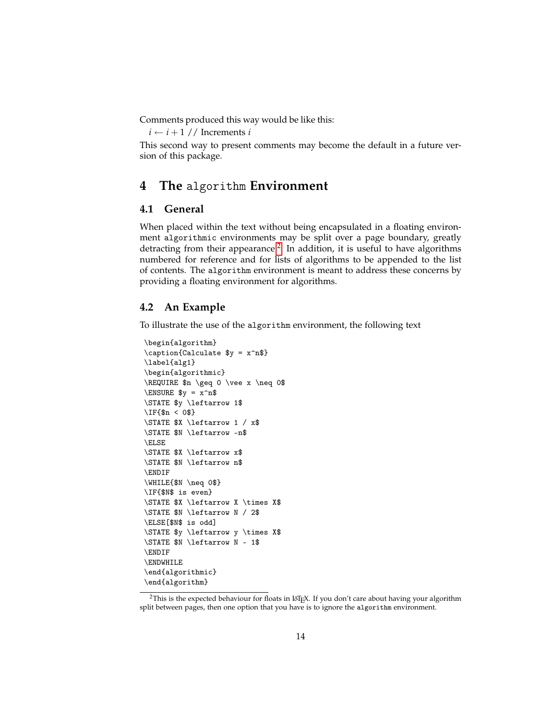Comments produced this way would be like this:

 $i \leftarrow i + 1$  // Increments *i* 

This second way to present comments may become the default in a future version of this package.

## <span id="page-13-0"></span>**4 The** algorithm **Environment**

#### <span id="page-13-1"></span>**4.1 General**

When placed within the text without being encapsulated in a floating environment algorithmic environments may be split over a page boundary, greatly detracting from their appearance.<sup>[2](#page-13-3)</sup> In addition, it is useful to have algorithms numbered for reference and for lists of algorithms to be appended to the list of contents. The algorithm environment is meant to address these concerns by providing a floating environment for algorithms.

#### <span id="page-13-2"></span>**4.2 An Example**

To illustrate the use of the algorithm environment, the following text

```
\begin{algorithm}
\caption{Calculate $y = x^n$}
\label{alg1}
\begin{algorithmic}
\REQUIRE $n \geq 0 \vee x \neq 0$
\Epsilon \ y = x^n\STATE $y \leftarrow 1$
\IF{$n < 0$}
\STATE $X \leftarrow 1 / x$
\STATE $N \leftarrow -n$
\ELSE
\STATE $X \leftarrow x$
\STATE $N \leftarrow n$
\ENDIF
\WHILE{$N \neq 0$}
\IF{$N$ is even}
\STATE $X \leftarrow X \times X$
\STATE $N \leftarrow N / 2$
\ELSE[$N$ is odd]
\STATE $y \leftarrow y \times X$
\STATE $N \leftarrow N - 1$
\ENDIF
\ENDWHILE
\end{algorithmic}
\end{algorithm}
```
<span id="page-13-3"></span><sup>&</sup>lt;sup>2</sup>This is the expected behaviour for floats in L<sup>AT</sup>EX. If you don't care about having your algorithm split between pages, then one option that you have is to ignore the algorithm environment.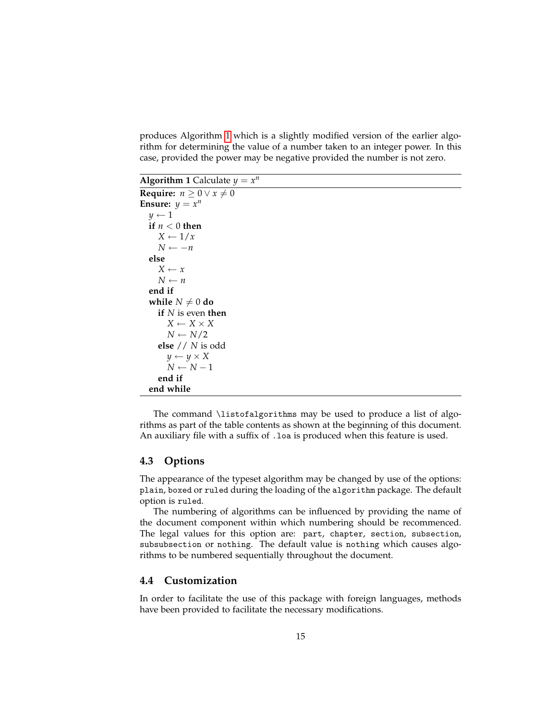produces Algorithm [1](#page-14-2) which is a slightly modified version of the earlier algorithm for determining the value of a number taken to an integer power. In this case, provided the power may be negative provided the number is not zero.

**Algorithm 1** Calculate  $y = x^n$ 

```
Require: n > 0 \vee x \neq 0Ensure: y = x^ny \leftarrow 1if n < 0 then
     X \leftarrow 1/xN \leftarrow -nelse
      X \leftarrow xN \leftarrow nend if
  while N \neq 0 do
     if N is even then
         X \leftarrow X \times XN \leftarrow N/2else // N is odd
        y \leftarrow y \times XN \leftarrow N - 1end if
  end while
```
The command \listofalgorithms may be used to produce a list of algorithms as part of the table contents as shown at the beginning of this document. An auxiliary file with a suffix of . loa is produced when this feature is used.

#### <span id="page-14-0"></span>**4.3 Options**

The appearance of the typeset algorithm may be changed by use of the options: plain, boxed or ruled during the loading of the algorithm package. The default option is ruled.

The numbering of algorithms can be influenced by providing the name of the document component within which numbering should be recommenced. The legal values for this option are: part, chapter, section, subsection, subsubsection or nothing. The default value is nothing which causes algorithms to be numbered sequentially throughout the document.

#### <span id="page-14-1"></span>**4.4 Customization**

In order to facilitate the use of this package with foreign languages, methods have been provided to facilitate the necessary modifications.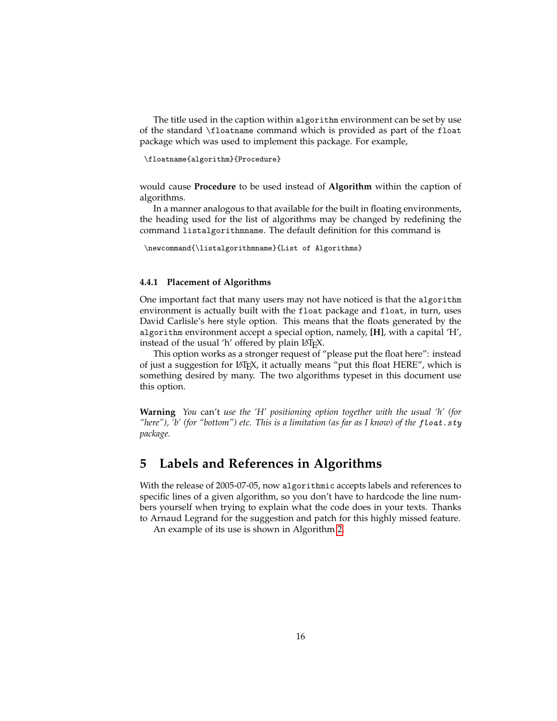The title used in the caption within algorithm environment can be set by use of the standard \floatname command which is provided as part of the float package which was used to implement this package. For example,

\floatname{algorithm}{Procedure}

would cause **Procedure** to be used instead of **Algorithm** within the caption of algorithms.

In a manner analogous to that available for the built in floating environments, the heading used for the list of algorithms may be changed by redefining the command listalgorithmname. The default definition for this command is

\newcommand{\listalgorithmname}{List of Algorithms}

#### **4.4.1 Placement of Algorithms**

One important fact that many users may not have noticed is that the algorithm environment is actually built with the float package and float, in turn, uses David Carlisle's here style option. This means that the floats generated by the algorithm environment accept a special option, namely, **[H]**, with a capital 'H', instead of the usual 'h' offered by plain LAT<sub>F</sub>X.

This option works as a stronger request of "please put the float here": instead of just a suggestion for LAT<sub>E</sub>X, it actually means "put this float HERE", which is something desired by many. The two algorithms typeset in this document use this option.

**Warning** *You* can't *use the 'H' positioning option together with the usual 'h' (for "here"), 'b' (for "bottom") etc. This is a limitation (as far as I know) of the* float.sty *package.*

## <span id="page-15-0"></span>**5 Labels and References in Algorithms**

With the release of 2005-07-05, now algorithmic accepts labels and references to specific lines of a given algorithm, so you don't have to hardcode the line numbers yourself when trying to explain what the code does in your texts. Thanks to Arnaud Legrand for the suggestion and patch for this highly missed feature.

An example of its use is shown in Algorithm [2.](#page-16-1)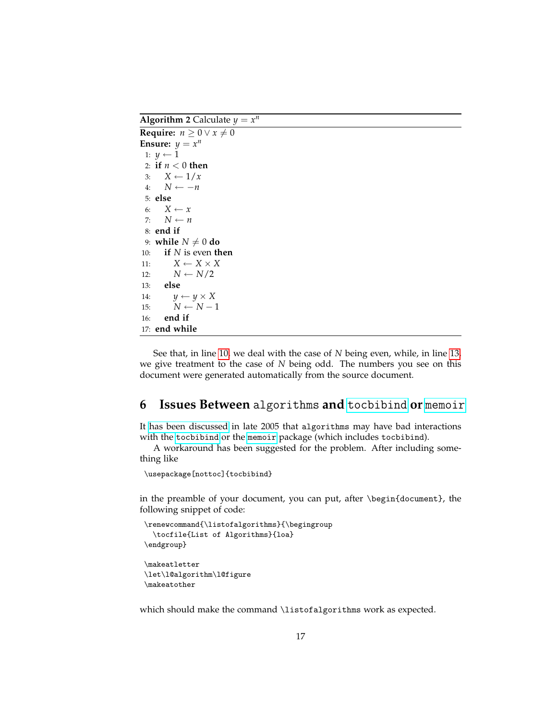**Algorithm 2** Calculate  $y = x^n$ 

```
Require: n \geq 0 \vee x \neq 0Ensure: y = x^n1: y \leftarrow 12: if n < 0 then
 3: X \leftarrow 1/x4: N ← −n
 5: else
 6: X \leftarrow x7: N \leftarrow n8: end if
 9: while N \neq 0 do
10: if N is even then
11: X \leftarrow X \times X12: N \leftarrow N/213: else
14: y \leftarrow y \times X15: N \leftarrow N-116: end if
17: end while
```
<span id="page-16-3"></span><span id="page-16-2"></span>See that, in line [10,](#page-16-2) we deal with the case of *N* being even, while, in line [13,](#page-16-3) we give treatment to the case of *N* being odd. The numbers you see on this document were generated automatically from the source document.

## <span id="page-16-0"></span>**6 Issues Between** algorithms **and** [tocbibind](http://www.ctan.org/tex-archive/help/Catalogue/entries/tocbibind.html) **or** [memoir](http://www.ctan.org/tex-archive/help/Catalogue/entries/memoir.html)

It [has been discussed](http://groups.google.com/group/comp.text.tex/browse_thread/thread/4094e0c4f4fbd83e/a80a3f4666c794f0?fwc=1) in late 2005 that algorithms may have bad interactions with the [tocbibind](http://www.ctan.org/tex-archive/help/Catalogue/entries/tocbibind.html) or the [memoir](http://www.ctan.org/tex-archive/help/Catalogue/entries/memoir.html) package (which includes tocbibind).

A workaround has been suggested for the problem. After including something like

\usepackage[nottoc]{tocbibind}

in the preamble of your document, you can put, after \begin{document}, the following snippet of code:

```
\renewcommand{\listofalgorithms}{\begingroup
  \tocfile{List of Algorithms}{loa}
\endgroup}
\makeatletter
\let\l@algorithm\l@figure
```
\makeatother

which should make the command \listofalgorithms work as expected.